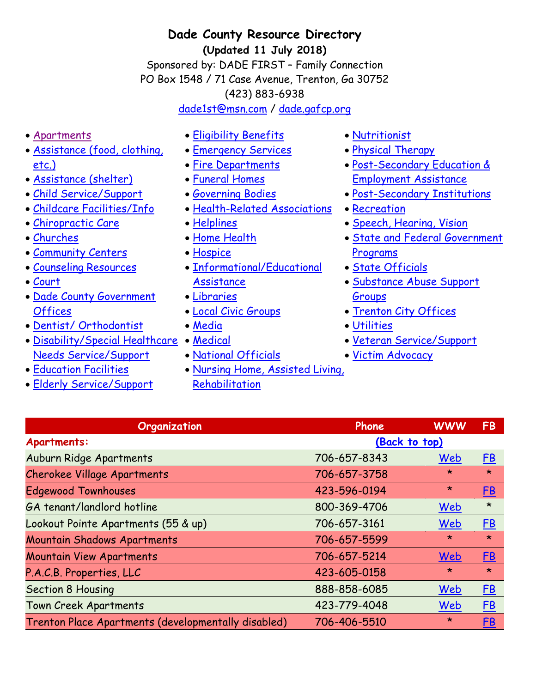**Dade County Resource Directory (Updated 11 July 2018)**

Sponsored by: DADE FIRST – Family Connection PO Box 1548 / 71 Case Avenue, Trenton, Ga 30752 (423) 883-6938

[dade1st@msn.com](mailto:dade1st@msn.com) / [dade.gafcp.org](http://dade.gafcp.org/)

- [Apartments](#page-0-0)
- [Assistance \(food, clothing,](#page-1-0)  [etc.\)](#page-1-0)
- [Assistance \(shelter\)](#page-1-1)
- [Child Service/Support](#page-1-2)
- [Childcare Facilities/Info](#page-2-0)
- [Chiropractic Care](#page-2-1)
- [Churches](#page-3-0)
- [Community Centers](#page-5-0)
- [Counseling Resources](#page-5-1)
- [Court](#page-6-0)
- Dade County Government **[Offices](#page-6-1)**
- [Dentist/ Orthodontist](#page-6-2)
- [Disability/Special Healthcare](#page-6-3)  [Medical](#page-11-1) [Needs Service/Support](#page-6-3)
- **[Education Facilities](#page-7-0)**
- [Elderly Service/Support](#page-7-1)
- [Eligibility Benefits](#page-7-2)
- **[Emergency Services](#page-8-0)**
- [Fire Departments](#page-8-1)
- [Funeral Homes](#page-8-2)
- [Governing Bodies](#page-8-3)
- [Health-Related Associations](#page-8-4)
- [Helplines](#page-9-0)
- [Home Health](#page-10-0)
- [Hospice](#page-10-1)
- Informational/Educational [Assistance](#page-10-2)
- [Libraries](#page-10-3)
- [Local Civic Groups](#page-10-4)
- [Media](#page-11-0)
- 
- [National Officials](#page-11-2)
- [Nursing Home, Assisted Living,](#page-11-3)  [Rehabilitation](#page-11-3)
- <span id="page-0-1"></span>[Nutritionist](#page-12-0)
- [Physical Therapy](#page-12-1)
- [Post-Secondary Education &](#page-12-2)  [Employment Assistance](#page-12-2)
- [Post-Secondary Institutions](#page-12-3)
- [Recreation](#page-12-4)
- [Speech, Hearing, Vision](#page-13-0)
- [State and Federal Government](#page-13-1)  [Programs](#page-13-1)
- [State Officials](#page-13-2)
- [Substance Abuse Support](#page-13-3)  [Groups](#page-13-3)
- [Trenton City Offices](#page-14-0)
- [Utilities](#page-14-1)
- [Veteran Service/Support](#page-15-0)
- [Victim Advocacy](#page-15-1)

<span id="page-0-0"></span>

| Organization                                        | Phone         | <b>WWW</b> | FB        |
|-----------------------------------------------------|---------------|------------|-----------|
| <b>Apartments:</b>                                  | (Back to top) |            |           |
| Auburn Ridge Apartments                             | 706-657-8343  | Web        | E         |
| <b>Cherokee Village Apartments</b>                  | 706-657-3758  | $\star$    | $\star$   |
| <b>Edgewood Townhouses</b>                          | 423-596-0194  | $\star$    | <u>FB</u> |
| GA tenant/landlord hotline                          | 800-369-4706  | Web        | $\star$   |
| Lookout Pointe Apartments (55 & up)                 | 706-657-3161  | Web        | E         |
| <b>Mountain Shadows Apartments</b>                  | 706-657-5599  | $\star$    | $\star$   |
| <b>Mountain View Apartments</b>                     | 706-657-5214  | Web        | E         |
| P.A.C.B. Properties, LLC                            | 423-605-0158  | $\star$    | $\star$   |
| <b>Section 8 Housing</b>                            | 888-858-6085  | Web        | E         |
| <b>Town Creek Apartments</b>                        | 423-779-4048  | Web        | E         |
| Trenton Place Apartments (developmentally disabled) | 706-406-5510  | $\star$    | <u>FB</u> |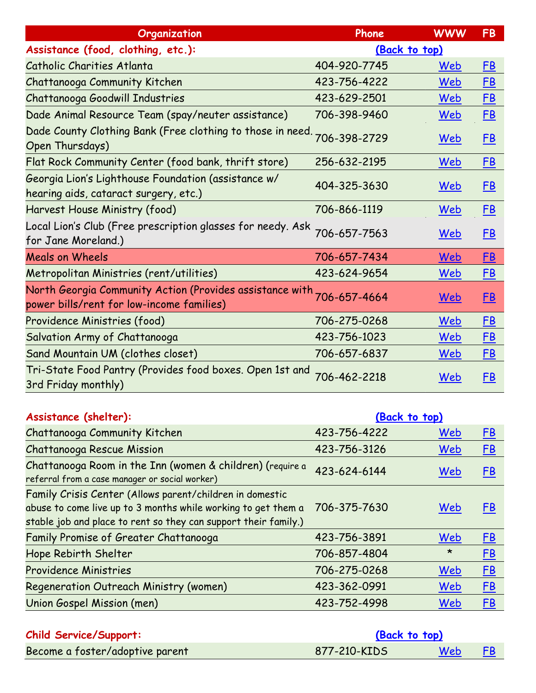<span id="page-1-0"></span>

| Organization                                                                                          | Phone         | <b>WWW</b> | <b>FB</b> |
|-------------------------------------------------------------------------------------------------------|---------------|------------|-----------|
| Assistance (food, clothing, etc.):                                                                    | (Back to top) |            |           |
| Catholic Charities Atlanta                                                                            | 404-920-7745  | Web        | <u>FB</u> |
| Chattanooga Community Kitchen                                                                         | 423-756-4222  | Web        | <u>FB</u> |
| Chattanooga Goodwill Industries                                                                       | 423-629-2501  | Web        | <u>FB</u> |
| Dade Animal Resource Team (spay/neuter assistance)                                                    | 706-398-9460  | Web        | <u>FB</u> |
| Dade County Clothing Bank (Free clothing to those in need.<br>Open Thursdays)                         | 706-398-2729  | <u>Web</u> | <u>FB</u> |
| Flat Rock Community Center (food bank, thrift store)                                                  | 256-632-2195  | Web        | <u>FB</u> |
| Georgia Lion's Lighthouse Foundation (assistance w/<br>hearing aids, cataract surgery, etc.)          | 404-325-3630  | Web        | <u>FB</u> |
| Harvest House Ministry (food)                                                                         | 706-866-1119  | Web        | <u>FB</u> |
| Local Lion's Club (Free prescription glasses for needy. Ask<br>for Jane Moreland.)                    | 706-657-7563  | Web        | <u>FB</u> |
| <b>Meals on Wheels</b>                                                                                | 706-657-7434  | Web        | <u>FB</u> |
| Metropolitan Ministries (rent/utilities)                                                              | 423-624-9654  | Web        | <u>FB</u> |
| North Georgia Community Action (Provides assistance with<br>power bills/rent for low-income families) | 706-657-4664  | Web        | <u>FB</u> |
| Providence Ministries (food)                                                                          | 706-275-0268  | Web        | <u>FB</u> |
| Salvation Army of Chattanooga                                                                         | 423-756-1023  | Web        | <u>FB</u> |
| Sand Mountain UM (clothes closet)                                                                     | 706-657-6837  | Web        | <u>FB</u> |
| Tri-State Food Pantry (Provides food boxes. Open 1st and<br>3rd Friday monthly)                       | 706-462-2218  | Web        | <b>FB</b> |

<span id="page-1-1"></span>

| Assistance (shelter):                                                                                                                                                                        |              | (Back to top) |           |
|----------------------------------------------------------------------------------------------------------------------------------------------------------------------------------------------|--------------|---------------|-----------|
| Chattanooga Community Kitchen                                                                                                                                                                | 423-756-4222 | Web           | E         |
| Chattanooga Rescue Mission                                                                                                                                                                   | 423-756-3126 | Web           | E         |
| Chattanooga Room in the Inn (women & children) (require a<br>referral from a case manager or social worker)                                                                                  | 423-624-6144 | Web           | FB        |
| Family Crisis Center (Allows parent/children in domestic<br>abuse to come live up to 3 months while working to get them a<br>stable job and place to rent so they can support their family.) | 706-375-7630 | Web           | <b>FB</b> |
| Family Promise of Greater Chattanooga                                                                                                                                                        | 423-756-3891 | Web           | <u>FB</u> |
| Hope Rebirth Shelter                                                                                                                                                                         | 706-857-4804 | $\star$       | E         |
| <b>Providence Ministries</b>                                                                                                                                                                 | 706-275-0268 | Web           | E         |
| Regeneration Outreach Ministry (women)                                                                                                                                                       | 423-362-0991 | Web           | E         |
| Union Gospel Mission (men)                                                                                                                                                                   | 423-752-4998 | Web           | E         |

<span id="page-1-2"></span>

| <b>Child Service/Support:</b>   | (Back to top) |     |      |
|---------------------------------|---------------|-----|------|
| Become a foster/adoptive parent | 877-210-KIDS  | Web | - FB |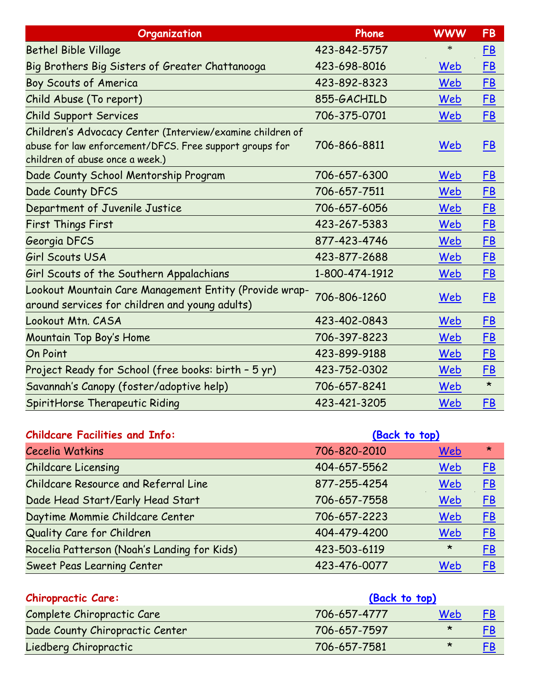| Organization                                                                                                                                            | Phone          | <b>WWW</b> | <b>FB</b> |
|---------------------------------------------------------------------------------------------------------------------------------------------------------|----------------|------------|-----------|
| <b>Bethel Bible Village</b>                                                                                                                             | 423-842-5757   | ∗          | E         |
| Big Brothers Big Sisters of Greater Chattanooga                                                                                                         | 423-698-8016   | Web        | <u>FB</u> |
| Boy Scouts of America                                                                                                                                   | 423-892-8323   | Web        | <b>FB</b> |
| Child Abuse (To report)                                                                                                                                 | 855-GACHILD    | Web        | <b>FB</b> |
| <b>Child Support Services</b>                                                                                                                           | 706-375-0701   | Web        | <u>FB</u> |
| Children's Advocacy Center (Interview/examine children of<br>abuse for law enforcement/DFCS. Free support groups for<br>children of abuse once a week.) | 706-866-8811   | Web        | <u>FB</u> |
| Dade County School Mentorship Program                                                                                                                   | 706-657-6300   | Web        | <u>FB</u> |
| Dade County DFCS                                                                                                                                        | 706-657-7511   | Web        | <b>FB</b> |
| Department of Juvenile Justice                                                                                                                          | 706-657-6056   | Web        | <u>FB</u> |
| <b>First Things First</b>                                                                                                                               | 423-267-5383   | Web        | <u>FB</u> |
| Georgia DFCS                                                                                                                                            | 877-423-4746   | Web        | <b>FB</b> |
| <b>Girl Scouts USA</b>                                                                                                                                  | 423-877-2688   | Web        | <b>FB</b> |
| Girl Scouts of the Southern Appalachians                                                                                                                | 1-800-474-1912 | Web        | <u>FB</u> |
| Lookout Mountain Care Management Entity (Provide wrap-<br>around services for children and young adults)                                                | 706-806-1260   | Web        | FB        |
| Lookout Mtn. CASA                                                                                                                                       | 423-402-0843   | Web        | <u>FB</u> |
| Mountain Top Boy's Home                                                                                                                                 | 706-397-8223   | Web        | <u>FB</u> |
| <b>On Point</b>                                                                                                                                         | 423-899-9188   | Web        | <u>FB</u> |
| Project Ready for School (free books: birth - 5 yr)                                                                                                     | 423-752-0302   | Web        | <u>FB</u> |
| Savannah's Canopy (foster/adoptive help)                                                                                                                | 706-657-8241   | Web        | $\star$   |
| SpiritHorse Therapeutic Riding                                                                                                                          | 423-421-3205   | Web        | <u>FB</u> |

<span id="page-2-0"></span>

| <b>Childcare Facilities and Info:</b>       | (Back to top) |         |           |
|---------------------------------------------|---------------|---------|-----------|
| <b>Cecelia Watkins</b>                      | 706-820-2010  | Web     | $\star$   |
| <b>Childcare Licensing</b>                  | 404-657-5562  | Web     | E         |
| Childcare Resource and Referral Line        | 877-255-4254  | Web     | <u>FB</u> |
| Dade Head Start/Early Head Start            | 706-657-7558  | Web     | <u>FB</u> |
| Daytime Mommie Childcare Center             | 706-657-2223  | Web     | E         |
| Quality Care for Children                   | 404-479-4200  | Web     | <u>FB</u> |
| Rocelia Patterson (Noah's Landing for Kids) | 423-503-6119  | $\star$ | <u>FB</u> |
| <b>Sweet Peas Learning Center</b>           | 423-476-0077  | Web     | FB        |

<span id="page-2-1"></span>

| <b>Chiropractic Care:</b>       | (Back to top) |         |           |
|---------------------------------|---------------|---------|-----------|
| Complete Chiropractic Care      | 706-657-4777  | Web     | <u>FB</u> |
| Dade County Chiropractic Center | 706-657-7597  | $\star$ | FB        |
| Liedberg Chiropractic           | 706-657-7581  | $\star$ | <u>FB</u> |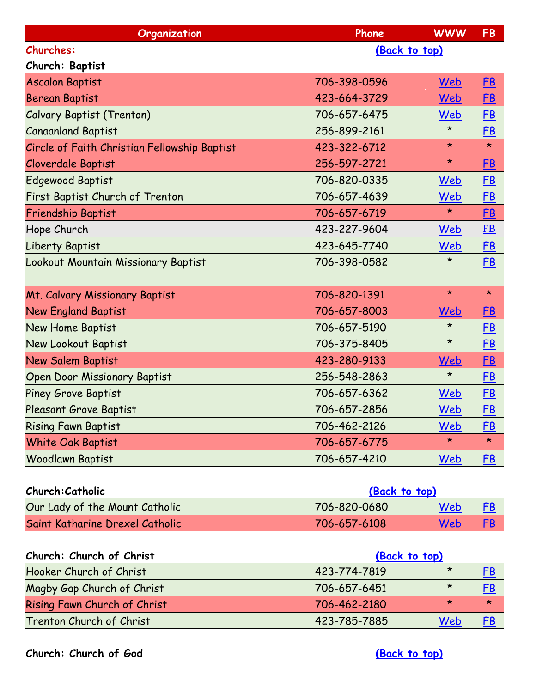<span id="page-3-0"></span>

| Organization                                 | Phone         | <b>WWW</b> | <b>FB</b> |
|----------------------------------------------|---------------|------------|-----------|
| <b>Churches:</b>                             | (Back to top) |            |           |
| Church: Baptist                              |               |            |           |
| <b>Ascalon Baptist</b>                       | 706-398-0596  | Web        | <u>FB</u> |
| <b>Berean Baptist</b>                        | 423-664-3729  | Web        | <u>FB</u> |
| <b>Calvary Baptist (Trenton)</b>             | 706-657-6475  | Web        | <u>FB</u> |
| <b>Canaanland Baptist</b>                    | 256-899-2161  | $\star$    | <u>FB</u> |
| Circle of Faith Christian Fellowship Baptist | 423-322-6712  | $\star$    | $\star$   |
| Cloverdale Baptist                           | 256-597-2721  | $\star$    | FB        |
| <b>Edgewood Baptist</b>                      | 706-820-0335  | Web        | <u>FB</u> |
| First Baptist Church of Trenton              | 706-657-4639  | Web        | E         |
| <b>Friendship Baptist</b>                    | 706-657-6719  | $\star$    | <u>FB</u> |
| Hope Church                                  | 423-227-9604  | Web        | FB        |
| Liberty Baptist                              | 423-645-7740  | Web        | <u>FB</u> |
| Lookout Mountain Missionary Baptist          | 706-398-0582  | $\star$    | <u>FB</u> |
|                                              |               |            |           |
| Mt. Calvary Missionary Baptist               | 706-820-1391  | $\star$    | $\star$   |
| <b>New England Baptist</b>                   | 706-657-8003  | Web        | <u>FB</u> |
| New Home Baptist                             | 706-657-5190  | $\star$    | <u>FB</u> |
| New Lookout Baptist                          | 706-375-8405  | $\star$    | <u>FB</u> |
| New Salem Baptist                            | 423-280-9133  | Web        | <u>FB</u> |
| <b>Open Door Missionary Baptist</b>          | 256-548-2863  | $\star$    | <b>FB</b> |
| <b>Piney Grove Baptist</b>                   | 706-657-6362  | Web        | <u>FB</u> |
| Pleasant Grove Baptist                       | 706-657-2856  | Web        | <b>FB</b> |
| <b>Rising Fawn Baptist</b>                   | 706-462-2126  | Web        | <u>FB</u> |
| White Oak Baptist                            | 706-657-6775  | $\star$    | $\star$   |
| Woodlawn Baptist                             | 706-657-4210  | Web        | E         |
|                                              |               |            |           |
| Church: Catholic                             | (Back to top) |            |           |
| Our Lady of the Mount Catholic               | 706-820-0680  | Web        | E         |
| Saint Katharine Drexel Catholic              | 706-657-6108  | Web        | <u>FB</u> |
|                                              |               |            |           |
| Church: Church of Christ                     | (Back to top) |            |           |
| Hooker Church of Christ                      | 423-774-7819  | $\star$    | E         |
| Magby Gap Church of Christ                   | 706-657-6451  | $\star$    | <u>FB</u> |
| Rising Fawn Church of Christ                 | 706-462-2180  | $\star$    | $\star$   |
| Trenton Church of Christ                     | 423-785-7885  | Web        | <u>FB</u> |
|                                              |               |            |           |

**Church: Church of God [\(Back to top\)](#page-0-1)**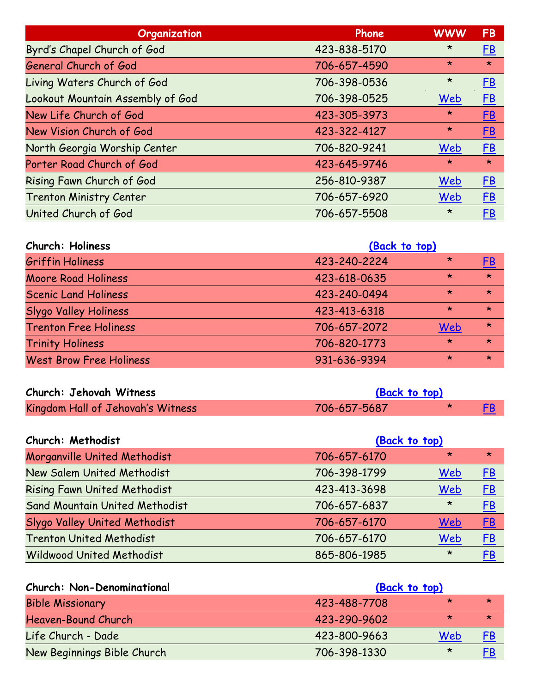| Organization                     | Phone        | <b>WWW</b> | <b>FB</b> |
|----------------------------------|--------------|------------|-----------|
| Byrd's Chapel Church of God      | 423-838-5170 | $\star$    | <u>FB</u> |
| General Church of God            | 706-657-4590 | $\star$    | $\star$   |
| Living Waters Church of God      | 706-398-0536 | $\star$    | <u>FB</u> |
| Lookout Mountain Assembly of God | 706-398-0525 | Web        | E         |
| New Life Church of God           | 423-305-3973 | $\star$    | E         |
| New Vision Church of God         | 423-322-4127 | $\star$    | E         |
| North Georgia Worship Center     | 706-820-9241 | Web        | E         |
| Porter Road Church of God        | 423-645-9746 | $\star$    | $\star$   |
| Rising Fawn Church of God        | 256-810-9387 | Web        | <u>FB</u> |
| <b>Trenton Ministry Center</b>   | 706-657-6920 | Web        | E         |
| United Church of God             | 706-657-5508 | $\star$    | <u>FB</u> |

| Church: Holiness               | (Back to top) |         |           |
|--------------------------------|---------------|---------|-----------|
| <b>Griffin Holiness</b>        | 423-240-2224  | $\star$ | <u>FB</u> |
| Moore Road Holiness            | 423-618-0635  | $\star$ | $\star$   |
| <b>Scenic Land Holiness</b>    | 423-240-0494  | $\star$ | $\star$   |
| <b>Slygo Valley Holiness</b>   | 423-413-6318  | $\star$ | $\star$   |
| <b>Trenton Free Holiness</b>   | 706-657-2072  | Web     | $\star$   |
| <b>Trinity Holiness</b>        | 706-820-1773  | $\star$ | $\star$   |
| <b>West Brow Free Holiness</b> | 931-636-9394  | $\star$ | $\star$   |

| Church: Jehovah Witness           | (Back to top) |  |  |
|-----------------------------------|---------------|--|--|
| Kingdom Hall of Jehovah's Witness | 706-657-5687  |  |  |

| Church: Methodist                     | (Back to top) |         |           |
|---------------------------------------|---------------|---------|-----------|
| Morganville United Methodist          | 706-657-6170  | $\star$ | $\star$   |
| New Salem United Methodist            | 706-398-1799  | Web     | E         |
| <b>Rising Fawn United Methodist</b>   | 423-413-3698  | Web     | E         |
| <b>Sand Mountain United Methodist</b> | 706-657-6837  | $\star$ | <u>FB</u> |
| Slygo Valley United Methodist         | 706-657-6170  | Web     | EB        |
| <b>Trenton United Methodist</b>       | 706-657-6170  | Web     | E         |
| <b>Wildwood United Methodist</b>      | 865-806-1985  | $\star$ | FB        |

| <b>Church: Non-Denominational</b><br>(Back to top) |              |         |           |
|----------------------------------------------------|--------------|---------|-----------|
| <b>Bible Missionary</b>                            | 423-488-7708 | ∗       | $\star$   |
| <b>Heaven-Bound Church</b>                         | 423-290-9602 | $\star$ | $\star$   |
| Life Church - Dade                                 | 423-800-9663 | Web     | <u>FB</u> |
| New Beginnings Bible Church                        | 706-398-1330 | $\star$ | FB        |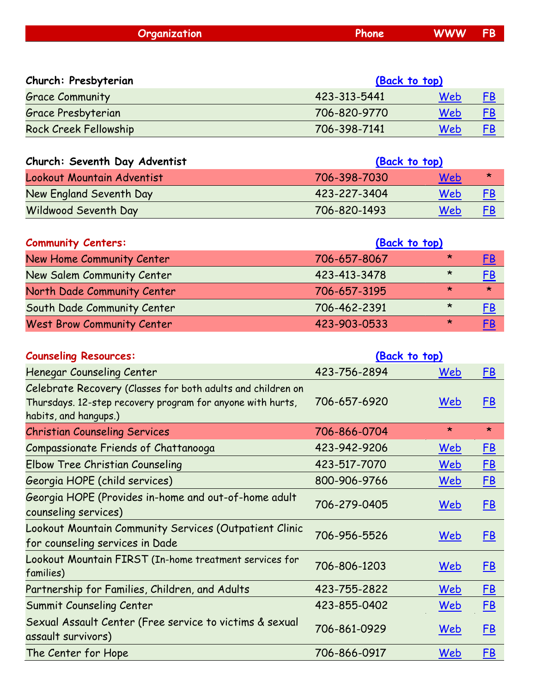| <b>Organization</b> | <b>Phone</b> | <b>WWW</b> | <b>FB</b> |
|---------------------|--------------|------------|-----------|
|                     |              |            |           |

| Church: Presbyterian         | (Back to top) |     |           |
|------------------------------|---------------|-----|-----------|
| <b>Grace Community</b>       | 423-313-5441  | Web | FB        |
| Grace Presbyterian           | 706-820-9770  | Web | <u>FB</u> |
| <b>Rock Creek Fellowship</b> | 706-398-7141  | Web | FΒ        |

| Church: Seventh Day Adventist | (Back to top) |     |           |
|-------------------------------|---------------|-----|-----------|
| Lookout Mountain Adventist    | 706-398-7030  | Web | ∗         |
| New England Seventh Day       | 423-227-3404  | Web | <u>FB</u> |
| <b>Wildwood Seventh Day</b>   | 706-820-1493  | Web | <u>FB</u> |

<span id="page-5-0"></span>

| <b>Community Centers:</b>         | (Back to top) |         |           |
|-----------------------------------|---------------|---------|-----------|
| New Home Community Center         | 706-657-8067  | ∗       | FB        |
| New Salem Community Center        | 423-413-3478  | $\star$ | <u>FB</u> |
| North Dade Community Center       | 706-657-3195  | $\star$ | $\star$   |
| South Dade Community Center       | 706-462-2391  | $\star$ | <u>FB</u> |
| <b>West Brow Community Center</b> | 423-903-0533  | $\star$ | FB        |

<span id="page-5-1"></span>

| <b>Counseling Resources:</b>                                                                                                                       | (Back to top) |            |           |
|----------------------------------------------------------------------------------------------------------------------------------------------------|---------------|------------|-----------|
| Henegar Counseling Center                                                                                                                          | 423-756-2894  | Web        | E         |
| Celebrate Recovery (Classes for both adults and children on<br>Thursdays. 12-step recovery program for anyone with hurts,<br>habits, and hangups.) | 706-657-6920  | Web        | <u>FB</u> |
| <b>Christian Counseling Services</b>                                                                                                               | 706-866-0704  | $\star$    | $\star$   |
| Compassionate Friends of Chattanooga                                                                                                               | 423-942-9206  | Web        | <u>FB</u> |
| Elbow Tree Christian Counseling                                                                                                                    | 423-517-7070  | Web        | E         |
| Georgia HOPE (child services)                                                                                                                      | 800-906-9766  | Web        | <u>FB</u> |
| Georgia HOPE (Provides in-home and out-of-home adult<br>counseling services)                                                                       | 706-279-0405  | <u>Web</u> | E         |
| Lookout Mountain Community Services (Outpatient Clinic<br>for counseling services in Dade                                                          | 706-956-5526  | Web        | E         |
| Lookout Mountain FIRST (In-home treatment services for<br>families)                                                                                | 706-806-1203  | Web        | E         |
| Partnership for Families, Children, and Adults                                                                                                     | 423-755-2822  | Web        | E         |
| Summit Counseling Center                                                                                                                           | 423-855-0402  | Web        | E         |
| Sexual Assault Center (Free service to victims & sexual<br>assault survivors)                                                                      | 706-861-0929  | Web        | <u>FB</u> |
| The Center for Hope                                                                                                                                | 706-866-0917  | Web        | <u>FB</u> |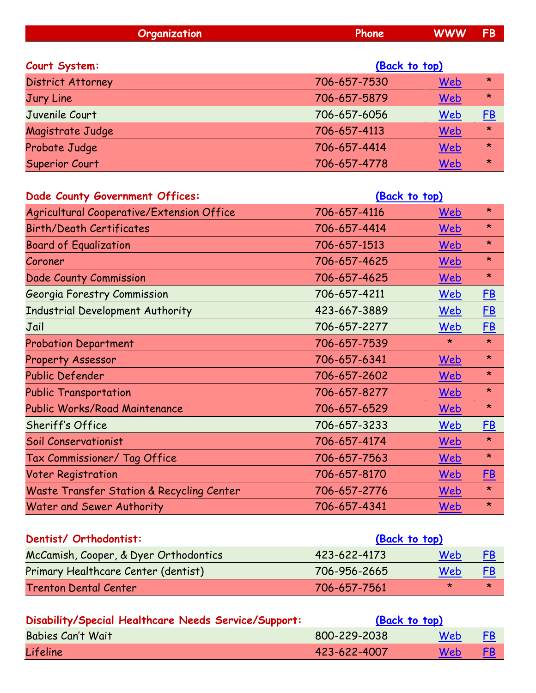<span id="page-6-0"></span>

| Organization             | Phone         | <b>WWW</b> | <b>FB</b> |
|--------------------------|---------------|------------|-----------|
| Court System:            | (Back to top) |            |           |
| <b>District Attorney</b> | 706-657-7530  | <u>Web</u> | $\star$   |
| Jury Line                | 706-657-5879  | Web        | $\star$   |
| Juvenile Court           | 706-657-6056  | Web        | E         |
| Magistrate Judge         | 706-657-4113  | <u>Web</u> | $\star$   |
| Probate Judge            | 706-657-4414  | Web        | $\star$   |
| Superior Court           | 706-657-4778  | Web        | $\star$   |

<span id="page-6-1"></span>

| Dade County Government Offices:           | (Back to top) |         |           |
|-------------------------------------------|---------------|---------|-----------|
| Agricultural Cooperative/Extension Office | 706-657-4116  | Web     | $\star$   |
| <b>Birth/Death Certificates</b>           | 706-657-4414  | Web     | $\star$   |
| <b>Board of Equalization</b>              | 706-657-1513  | Web     | $\star$   |
| Coroner                                   | 706-657-4625  | Web     | $\star$   |
| Dade County Commission                    | 706-657-4625  | Web     | $\star$   |
| Georgia Forestry Commission               | 706-657-4211  | Web     | <u>FB</u> |
| <b>Industrial Development Authority</b>   | 423-667-3889  | Web     | <b>FB</b> |
| Jail                                      | 706-657-2277  | Web     | $F$ $B$   |
| <b>Probation Department</b>               | 706-657-7539  | $\star$ | $\star$   |
| <b>Property Assessor</b>                  | 706-657-6341  | Web     | $\star$   |
| Public Defender                           | 706-657-2602  | Web     | $\star$   |
| <b>Public Transportation</b>              | 706-657-8277  | Web     | $\star$   |
| Public Works/Road Maintenance             | 706-657-6529  | Web     | $\star$   |
| Sheriff's Office                          | 706-657-3233  | Web     | <u>FB</u> |
| Soil Conservationist                      | 706-657-4174  | Web     | $\star$   |
| Tax Commissioner/ Tag Office              | 706-657-7563  | Web     | $\star$   |
| <b>Voter Registration</b>                 | 706-657-8170  | Web     | <u>FB</u> |
| Waste Transfer Station & Recycling Center | 706-657-2776  | Web     | $\star$   |
| Water and Sewer Authority                 | 706-657-4341  | Web     | $\star$   |

<span id="page-6-2"></span>

| Dentist/ Orthodontist:                | (Back to top) |     |           |
|---------------------------------------|---------------|-----|-----------|
| McCamish, Cooper, & Dyer Orthodontics | 423-622-4173  | Web | <u>FB</u> |
| Primary Healthcare Center (dentist)   | 706-956-2665  | Web | <u>FB</u> |
| <b>Trenton Dental Center</b>          | 706-657-7561  | ×   | *         |

<span id="page-6-3"></span>

| Disability/Special Healthcare Needs Service/Support: | (Back to top) |     |           |
|------------------------------------------------------|---------------|-----|-----------|
| <b>Babies Can't Wait</b>                             | 800-229-2038  | Web | <b>FB</b> |
| <b>Lifeline</b>                                      | 423-622-4007  | Web | <u>FB</u> |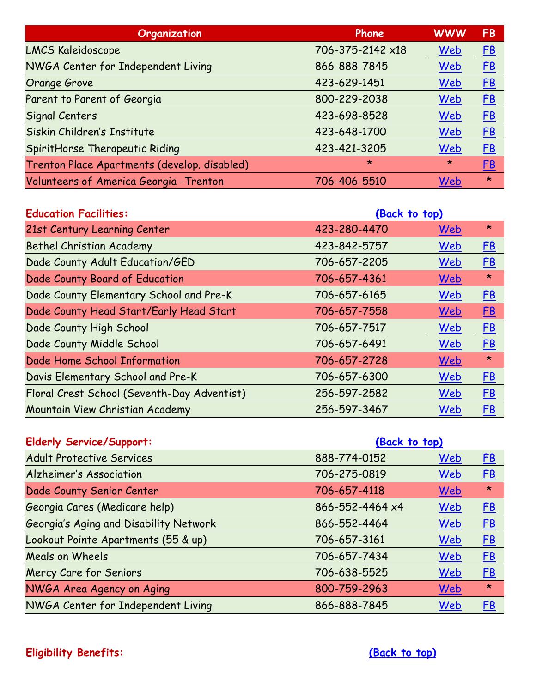| Organization                                 | Phone            | <b>WWW</b> | <b>FB</b> |
|----------------------------------------------|------------------|------------|-----------|
| <b>LMCS Kaleidoscope</b>                     | 706-375-2142 ×18 | Web        | E         |
| NWGA Center for Independent Living           | 866-888-7845     | Web        | E         |
| Orange Grove                                 | 423-629-1451     | Web        | E         |
| Parent to Parent of Georgia                  | 800-229-2038     | Web        | E         |
| <b>Signal Centers</b>                        | 423-698-8528     | Web        | E         |
| Siskin Children's Institute                  | 423-648-1700     | Web        | E         |
| SpiritHorse Therapeutic Riding               | 423-421-3205     | Web        | E         |
| Trenton Place Apartments (develop. disabled) | $\star$          | $\star$    | <b>FB</b> |
| Volunteers of America Georgia - Trenton      | 706-406-5510     | Web        | $\star$   |

<span id="page-7-0"></span>

| <b>Education Facilities:</b>                | (Back to top) |     |           |
|---------------------------------------------|---------------|-----|-----------|
| 21st Century Learning Center                | 423-280-4470  | Web | $\star$   |
| <b>Bethel Christian Academy</b>             | 423-842-5757  | Web | E         |
| Dade County Adult Education/GED             | 706-657-2205  | Web | E         |
| Dade County Board of Education              | 706-657-4361  | Web | $\star$   |
| Dade County Elementary School and Pre-K     | 706-657-6165  | Web | E         |
| Dade County Head Start/Early Head Start     | 706-657-7558  | Web | <u>FB</u> |
| Dade County High School                     | 706-657-7517  | Web | E         |
| Dade County Middle School                   | 706-657-6491  | Web | E         |
| Dade Home School Information                | 706-657-2728  | Web | $\star$   |
| Davis Elementary School and Pre-K           | 706-657-6300  | Web | E         |
| Floral Crest School (Seventh-Day Adventist) | 256-597-2582  | Web | E         |
| Mountain View Christian Academy             | 256-597-3467  | Web | <u>FB</u> |

<span id="page-7-2"></span><span id="page-7-1"></span>

| <b>Elderly Service/Support:</b>        | (Back to top)   |            |           |
|----------------------------------------|-----------------|------------|-----------|
| <b>Adult Protective Services</b>       | 888-774-0152    | Web        | E         |
| <b>Alzheimer's Association</b>         | 706-275-0819    | Web        | E         |
| Dade County Senior Center              | 706-657-4118    | Web        | $\star$   |
| Georgia Cares (Medicare help)          | 866-552-4464 x4 | Web        | E         |
| Georgia's Aging and Disability Network | 866-552-4464    | Web        | E         |
| Lookout Pointe Apartments (55 & up)    | 706-657-3161    | Web        | E         |
| <b>Meals on Wheels</b>                 | 706-657-7434    | Web        | E         |
| Mercy Care for Seniors                 | 706-638-5525    | Web        | E         |
| NWGA Area Agency on Aging              | 800-759-2963    | <u>Web</u> | $\star$   |
| NWGA Center for Independent Living     | 866-888-7845    | Web        | <u>FB</u> |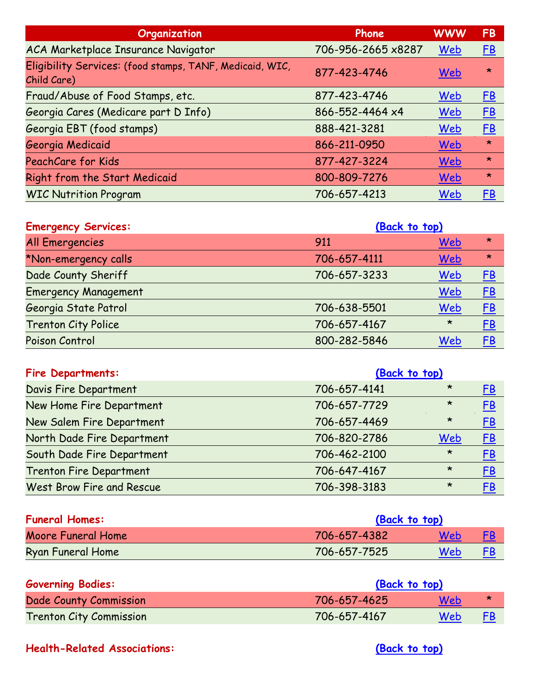| Organization                                                            | Phone              | <b>WWW</b> | <b>FB</b> |
|-------------------------------------------------------------------------|--------------------|------------|-----------|
| ACA Marketplace Insurance Navigator                                     | 706-956-2665 x8287 | Web        | E         |
| Eligibility Services: (food stamps, TANF, Medicaid, WIC,<br>Child Care) | 877-423-4746       | Web        | $\star$   |
| Fraud/Abuse of Food Stamps, etc.                                        | 877-423-4746       | Web        | E         |
| Georgia Cares (Medicare part D Info)                                    | 866-552-4464 x4    | Web        | E         |
| Georgia EBT (food stamps)                                               | 888-421-3281       | Web        | E         |
| Georgia Medicaid                                                        | 866-211-0950       | Web        | $\star$   |
| PeachCare for Kids                                                      | 877-427-3224       | <u>Web</u> | $\star$   |
| Right from the Start Medicaid                                           | 800-809-7276       | Web        | $\star$   |
| <b>WIC Nutrition Program</b>                                            | 706-657-4213       | Web        | FB        |

<span id="page-8-0"></span>

| <b>Emergency Services:</b>  | (Back to top) |         |           |
|-----------------------------|---------------|---------|-----------|
| <b>All Emergencies</b>      | 911           | Web     | $\star$   |
| *Non-emergency calls        | 706-657-4111  | Web     | $\star$   |
| Dade County Sheriff         | 706-657-3233  | Web     | <u>FB</u> |
| <b>Emergency Management</b> |               | Web     | E         |
| Georgia State Patrol        | 706-638-5501  | Web     | <u>FB</u> |
| <b>Trenton City Police</b>  | 706-657-4167  | $\star$ | E         |
| Poison Control              | 800-282-5846  | Web     | <u>FB</u> |

<span id="page-8-1"></span>

| <b>Fire Departments:</b>         | (Back to top) |         |           |
|----------------------------------|---------------|---------|-----------|
| Davis Fire Department            | 706-657-4141  | $\star$ | <u>FB</u> |
| New Home Fire Department         | 706-657-7729  | $\star$ | E         |
| New Salem Fire Department        | 706-657-4469  | $\star$ | <u>FB</u> |
| North Dade Fire Department       | 706-820-2786  | Web     | <u>FB</u> |
| South Dade Fire Department       | 706-462-2100  | $\star$ | <u>FB</u> |
| <b>Trenton Fire Department</b>   | 706-647-4167  | $\star$ | <u>FB</u> |
| <b>West Brow Fire and Rescue</b> | 706-398-3183  | $\star$ | <u>FB</u> |

<span id="page-8-2"></span>

| <b>Funeral Homes:</b> | (Back to top) |            |    |
|-----------------------|---------------|------------|----|
| Moore Funeral Home    | 706-657-4382  | Web        | FR |
| Ryan Funeral Home     | 706-657-7525  | <b>Web</b> | FB |

<span id="page-8-3"></span>

| <b>Governing Bodies:</b>       | (Back to top) |            |    |
|--------------------------------|---------------|------------|----|
| Dade County Commission         | 706-657-4625  | Web        | ∗  |
| <b>Trenton City Commission</b> | 706-657-4167  | <b>Web</b> | FB |

## <span id="page-8-4"></span>**Health-Related Associations: [\(Back to top\)](#page-0-1)**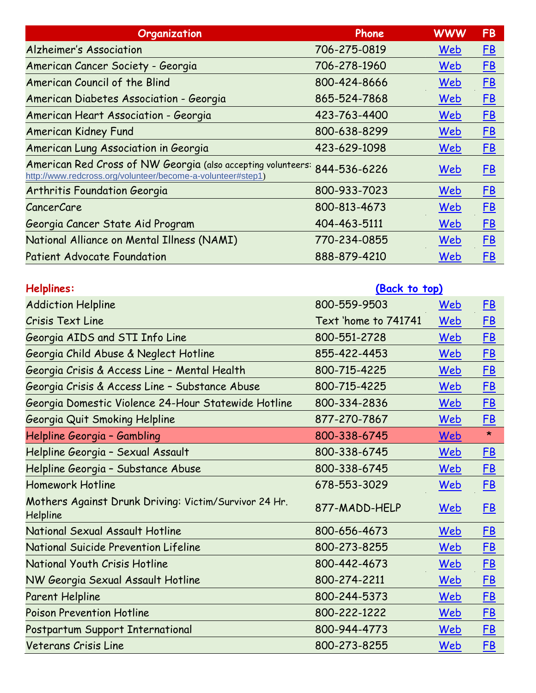| Organization                                                                                                                             | Phone        | <b>WWW</b> | <b>FB</b> |
|------------------------------------------------------------------------------------------------------------------------------------------|--------------|------------|-----------|
| <b>Alzheimer's Association</b>                                                                                                           | 706-275-0819 | Web        | E         |
| American Cancer Society - Georgia                                                                                                        | 706-278-1960 | Web        | E         |
| American Council of the Blind                                                                                                            | 800-424-8666 | Web        | E         |
| American Diabetes Association - Georgia                                                                                                  | 865-524-7868 | Web        | <u>FB</u> |
| American Heart Association - Georgia                                                                                                     | 423-763-4400 | Web        | E         |
| <b>American Kidney Fund</b>                                                                                                              | 800-638-8299 | Web        | E         |
| American Lung Association in Georgia                                                                                                     | 423-629-1098 | Web        | E         |
| American Red Cross of NW Georgia (also accepting volunteers: 844-536-6226<br>http://www.redcross.org/volunteer/become-a-volunteer#step1) |              | Web        | E         |
| Arthritis Foundation Georgia                                                                                                             | 800-933-7023 | Web        | $F$ B     |
| <b>CancerCare</b>                                                                                                                        | 800-813-4673 | Web        | <u>FB</u> |
| Georgia Cancer State Aid Program                                                                                                         | 404-463-5111 | Web        | E         |
| National Alliance on Mental Illness (NAMI)                                                                                               | 770-234-0855 | Web        | <u>FB</u> |
| <b>Patient Advocate Foundation</b>                                                                                                       | 888-879-4210 | Web        | <u>FB</u> |

<span id="page-9-0"></span>

| Helplines:                                                        | (Back to top)        |            |           |
|-------------------------------------------------------------------|----------------------|------------|-----------|
| <b>Addiction Helpline</b>                                         | 800-559-9503         | Web        | <u>FB</u> |
| Crisis Text Line                                                  | Text 'home to 741741 | Web        | E         |
| Georgia AIDS and STI Info Line                                    | 800-551-2728         | Web        | <u>FB</u> |
| Georgia Child Abuse & Neglect Hotline                             | 855-422-4453         | Web        | <u>FB</u> |
| Georgia Crisis & Access Line - Mental Health                      | 800-715-4225         | Web        | <u>FB</u> |
| Georgia Crisis & Access Line - Substance Abuse                    | 800-715-4225         | Web        | <b>FB</b> |
| Georgia Domestic Violence 24-Hour Statewide Hotline               | 800-334-2836         | Web        | <b>FB</b> |
| Georgia Quit Smoking Helpline                                     | 877-270-7867         | Web        | <u>FB</u> |
| Helpline Georgia - Gambling                                       | 800-338-6745         | Web        | $\star$   |
| Helpline Georgia - Sexual Assault                                 | 800-338-6745         | Web        | <u>FB</u> |
| Helpline Georgia - Substance Abuse                                | 800-338-6745         | Web        | <u>FB</u> |
| <b>Homework Hotline</b>                                           | 678-553-3029         | Web        | E         |
| Mothers Against Drunk Driving: Victim/Survivor 24 Hr.<br>Helpline | 877-MADD-HELP        | <u>Web</u> | <u>FB</u> |
| National Sexual Assault Hotline                                   | 800-656-4673         | Web        | E         |
| <b>National Suicide Prevention Lifeline</b>                       | 800-273-8255         | Web        | <u>FB</u> |
| National Youth Crisis Hotline                                     | 800-442-4673         | Web        | <u>FB</u> |
| NW Georgia Sexual Assault Hotline                                 | 800-274-2211         | Web        | E         |
| <b>Parent Helpline</b>                                            | 800-244-5373         | Web        | <u>FB</u> |
| <b>Poison Prevention Hotline</b>                                  | 800-222-1222         | Web        | <u>FB</u> |
| Postpartum Support International                                  | 800-944-4773         | Web        | E         |
| Veterans Crisis Line                                              | 800-273-8255         | <u>Web</u> | <u>FB</u> |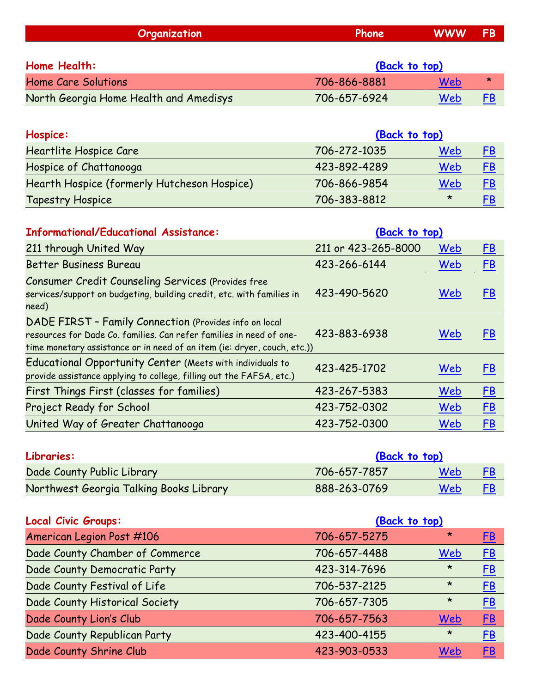<span id="page-10-2"></span><span id="page-10-1"></span><span id="page-10-0"></span>

| Organization                                                                                                                  | Phone               | <b>WWW</b> | <b>FB</b> |
|-------------------------------------------------------------------------------------------------------------------------------|---------------------|------------|-----------|
|                                                                                                                               |                     |            |           |
| <b>Home Health:</b>                                                                                                           | (Back to top)       |            |           |
| <b>Home Care Solutions</b>                                                                                                    | 706-866-8881        | Web        | $\star$   |
| North Georgia Home Health and Amedisys                                                                                        | 706-657-6924        | Web        | FB        |
|                                                                                                                               |                     |            |           |
| Hospice:                                                                                                                      | (Back to top)       |            |           |
| Heartlite Hospice Care                                                                                                        | 706-272-1035        | Web        | <b>FB</b> |
| Hospice of Chattanooga                                                                                                        | 423-892-4289        | Web        | FB        |
| Hearth Hospice (formerly Hutcheson Hospice)                                                                                   | 706-866-9854        | Web        | E         |
| <b>Tapestry Hospice</b>                                                                                                       | 706-383-8812        | $\star$    | <b>FB</b> |
|                                                                                                                               |                     |            |           |
| <b>Informational/Educational Assistance:</b>                                                                                  | (Back to top)       |            |           |
| 211 through United Way                                                                                                        | 211 or 423-265-8000 | Web        | <b>FB</b> |
| <b>Better Business Bureau</b>                                                                                                 | 423-266-6144        | Web        | FB        |
| <b>Consumer Credit Counseling Services (Provides free</b>                                                                     |                     |            |           |
| services/support on budgeting, building credit, etc. with families in                                                         | 423-490-5620        | Web        | <b>FB</b> |
| need)                                                                                                                         |                     |            |           |
| DADE FIRST - Family Connection (Provides info on local<br>resources for Dade Co. families. Can refer families in need of one- | 423-883-6938        | Web        | <b>FB</b> |
| time monetary assistance or in need of an item (ie: dryer, couch, etc.))                                                      |                     |            |           |
| Educational Opportunity Center (Meets with individuals to                                                                     | 423-425-1702        | Web        | <b>FB</b> |
| provide assistance applying to college, filling out the FAFSA, etc.)                                                          |                     |            |           |
| First Things First (classes for families)                                                                                     | 423-267-5383        | Web        | FB        |
| <b>Project Ready for School</b>                                                                                               | 423-752-0302        | Web        | <b>FB</b> |
| United Way of Greater Chattanooga                                                                                             | 423-752-0300        | Web        | <b>FB</b> |
|                                                                                                                               |                     |            |           |
| Libraries:                                                                                                                    | (Back to top)       |            |           |

<span id="page-10-3"></span>

| Libraries:                              | (Back to top) |     |  |
|-----------------------------------------|---------------|-----|--|
| Dade County Public Library              | 706-657-7857  | Web |  |
| Northwest Georgia Talking Books Library | 888-263-0769  | Web |  |

<span id="page-10-4"></span>

| Local Civic Groups:             | (Back to top) |         |           |
|---------------------------------|---------------|---------|-----------|
| American Legion Post #106       | 706-657-5275  | $\star$ | <u>FB</u> |
| Dade County Chamber of Commerce | 706-657-4488  | Web     | E         |
| Dade County Democratic Party    | 423-314-7696  | $\star$ | E         |
| Dade County Festival of Life    | 706-537-2125  | $\star$ | <u>FB</u> |
| Dade County Historical Society  | 706-657-7305  | $\star$ | <b>FB</b> |
| Dade County Lion's Club         | 706-657-7563  | Web     | <u>FB</u> |
| Dade County Republican Party    | 423-400-4155  | $\star$ | E         |
| Dade County Shrine Club         | 423-903-0533  | Web     | <u>FB</u> |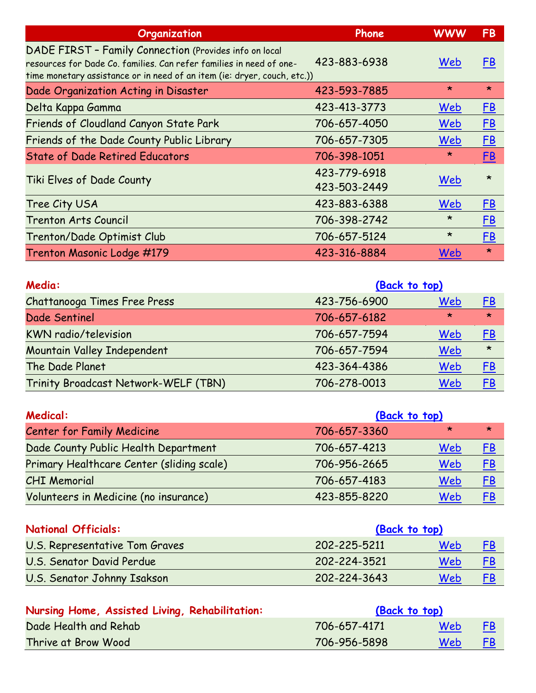| Organization                                                                                                                                                                                              | Phone                        | <b>WWW</b>   | <b>FB</b> |  |
|-----------------------------------------------------------------------------------------------------------------------------------------------------------------------------------------------------------|------------------------------|--------------|-----------|--|
| DADE FIRST - Family Connection (Provides info on local<br>resources for Dade Co. families. Can refer families in need of one-<br>time monetary assistance or in need of an item (ie: dryer, couch, etc.)) | 423-883-6938                 | Web          | <u>FB</u> |  |
| Dade Organization Acting in Disaster                                                                                                                                                                      | 423-593-7885                 | $\star$      | $\star$   |  |
| Delta Kappa Gamma                                                                                                                                                                                         | 423-413-3773                 | Web          | E         |  |
| Friends of Cloudland Canyon State Park                                                                                                                                                                    | 706-657-4050                 | Web          | E         |  |
| Friends of the Dade County Public Library                                                                                                                                                                 | 706-657-7305                 | Web          | E         |  |
| <b>State of Dade Retired Educators</b>                                                                                                                                                                    | 706-398-1051                 | $\star$      | <u>FB</u> |  |
| Tiki Elves of Dade County                                                                                                                                                                                 | 423-779-6918<br>423-503-2449 | Web          | $\star$   |  |
| Tree City USA                                                                                                                                                                                             | 423-883-6388                 | Web          | E         |  |
| <b>Trenton Arts Council</b>                                                                                                                                                                               | 706-398-2742                 | $\star$      | <u>FB</u> |  |
| Trenton/Dade Optimist Club                                                                                                                                                                                | 706-657-5124                 | $\star$      | <u>FB</u> |  |
| Trenton Masonic Lodge #179                                                                                                                                                                                | 423-316-8884                 | Web          | $\star$   |  |
| Media:                                                                                                                                                                                                    | (Back to top)                |              |           |  |
| Chattanongo Timog Engo Dugga                                                                                                                                                                              | 122.754.4000                 | $M_{\rm ch}$ | <b>CD</b> |  |

<span id="page-11-0"></span>

| Chattanooga Times Free Press         | 423-756-6900 | Web     | <u>FB</u> |
|--------------------------------------|--------------|---------|-----------|
| Dade Sentinel                        | 706-657-6182 | $\star$ | $\star$   |
| <b>KWN</b> radio/television          | 706-657-7594 | Web     | <u>FB</u> |
| Mountain Valley Independent          | 706-657-7594 | Web     | $\star$   |
| The Dade Planet                      | 423-364-4386 | Web     | <u>FB</u> |
| Trinity Broadcast Network-WELF (TBN) | 706-278-0013 | Web     | FB        |

<span id="page-11-1"></span>

| <b>Medical:</b>                           | (Back to top) |         |           |
|-------------------------------------------|---------------|---------|-----------|
| <b>Center for Family Medicine</b>         | 706-657-3360  | $\star$ | $\star$   |
| Dade County Public Health Department      | 706-657-4213  | Web     | <u>FB</u> |
| Primary Healthcare Center (sliding scale) | 706-956-2665  | Web     | <u>FB</u> |
| <b>CHI Memorial</b>                       | 706-657-4183  | Web     | <u>FB</u> |
| Volunteers in Medicine (no insurance)     | 423-855-8220  | Web     | FB        |

<span id="page-11-2"></span>

| <b>National Officials:</b>     | (Back to top) |     |           |
|--------------------------------|---------------|-----|-----------|
| U.S. Representative Tom Graves | 202-225-5211  | Web | <u>FB</u> |
| U.S. Senator David Perdue      | 202-224-3521  | Web | <u>FB</u> |
| U.S. Senator Johnny Isakson    | 202-224-3643  | Web | <u>FB</u> |

<span id="page-11-3"></span>

| Nursing Home, Assisted Living, Rehabilitation: | (Back to top) |     |           |
|------------------------------------------------|---------------|-----|-----------|
| Dade Health and Rehab                          | 706-657-4171  | Web | FB        |
| Thrive at Brow Wood                            | 706-956-5898  | Web | <u>FB</u> |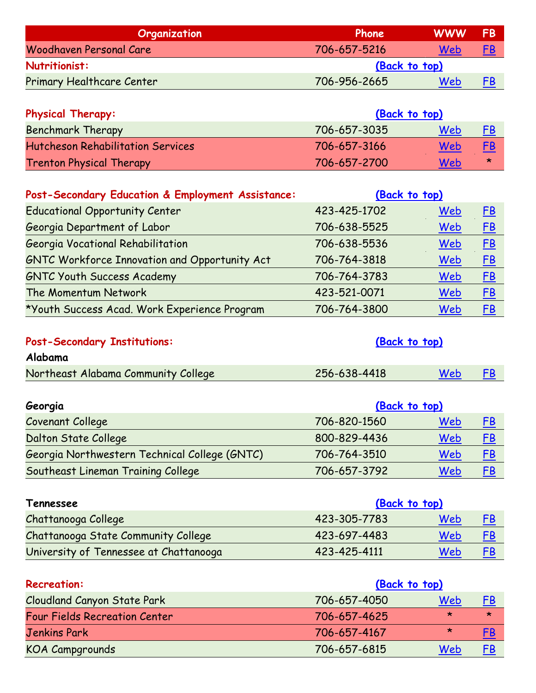<span id="page-12-0"></span>

| Organization                     | Phone         | <b>WWW</b> | FB        |  |
|----------------------------------|---------------|------------|-----------|--|
| Woodhaven Personal Care          | 706-657-5216  | Web        | <u>FB</u> |  |
| Nutritionist:                    | (Back to top) |            |           |  |
| <b>Primary Healthcare Center</b> | 706-956-2665  | Web        | <u>FB</u> |  |

<span id="page-12-1"></span>

| <b>Physical Therapy:</b>                 | (Back to top) |     |           |
|------------------------------------------|---------------|-----|-----------|
| <b>Benchmark Therapy</b>                 | 706-657-3035  | Web | <u>FB</u> |
| <b>Hutcheson Rehabilitation Services</b> | 706-657-3166  | Web | <u>FB</u> |
| <b>Trenton Physical Therapy</b>          | 706-657-2700  | Web | ∗         |

<span id="page-12-2"></span>

| Post-Secondary Education & Employment Assistance:    | (Back to top) |            |           |
|------------------------------------------------------|---------------|------------|-----------|
| <b>Educational Opportunity Center</b>                | 423-425-1702  | Web        | E         |
| Georgia Department of Labor                          | 706-638-5525  | <u>Web</u> | E         |
| Georgia Vocational Rehabilitation                    | 706-638-5536  | <u>Web</u> | <u>FB</u> |
| <b>GNTC Workforce Innovation and Opportunity Act</b> | 706-764-3818  | <u>Web</u> | <u>FB</u> |
| <b>GNTC Youth Success Academy</b>                    | 706-764-3783  | Web        | <u>FB</u> |
| The Momentum Network                                 | 423-521-0071  | Web        | E         |
| *Youth Success Acad. Work Experience Program         | 706-764-3800  | Web        | <u>FB</u> |

<span id="page-12-3"></span>

| <b>Post-Secondary Institutions:</b> | (Back to top) |     |    |
|-------------------------------------|---------------|-----|----|
| Alabama                             |               |     |    |
| Northeast Alabama Community College | 256-638-4418  | Web | FB |

| Georgia                                       | (Back to top) |     |           |
|-----------------------------------------------|---------------|-----|-----------|
| Covenant College                              | 706-820-1560  | Web | FB        |
| Dalton State College                          | 800-829-4436  | Web | <u>FB</u> |
| Georgia Northwestern Technical College (GNTC) | 706-764-3510  | Web | <u>FB</u> |
| Southeast Lineman Training College            | 706-657-3792  | Web | FB        |

| Tennessee                                  | (Back to top) |     |           |
|--------------------------------------------|---------------|-----|-----------|
| Chattanooga College                        | 423-305-7783  | Web | <u>FB</u> |
| <b>Chattanooga State Community College</b> | 423-697-4483  | Web | <u>FB</u> |
| University of Tennessee at Chattanooga     | 423-425-4111  | Web | <u>FB</u> |

<span id="page-12-4"></span>

| <b>Recreation:</b>                   | (Back to top) |         |           |
|--------------------------------------|---------------|---------|-----------|
| <b>Cloudland Canyon State Park</b>   | 706-657-4050  | Web     | <u>FB</u> |
| <b>Four Fields Recreation Center</b> | 706-657-4625  | $\star$ | $\star$   |
| <b>Jenkins Park</b>                  | 706-657-4167  | $\star$ | <u>FB</u> |
| <b>KOA Campgrounds</b>               | 706-657-6815  | Web     | <u>FB</u> |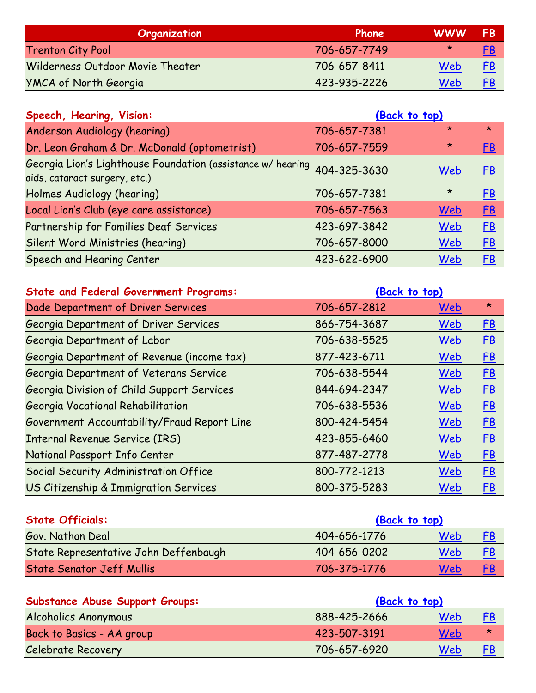| Organization                     | Phone        | <b>WWW</b> | FB        |
|----------------------------------|--------------|------------|-----------|
| <b>Trenton City Pool</b>         | 706-657-7749 | ∗          | <u>FB</u> |
| Wilderness Outdoor Movie Theater | 706-657-8411 | Web        | <u>FB</u> |
| <b>YMCA of North Georgia</b>     | 423-935-2226 | Web        | <u>FB</u> |

<span id="page-13-0"></span>

| Speech, Hearing, Vision:                                                                                  | (Back to top) |         |           |
|-----------------------------------------------------------------------------------------------------------|---------------|---------|-----------|
| Anderson Audiology (hearing)                                                                              | 706-657-7381  | $\star$ | $\star$   |
| Dr. Leon Graham & Dr. McDonald (optometrist)                                                              | 706-657-7559  | $\star$ | <u>FB</u> |
| Georgia Lion's Lighthouse Foundation (assistance w/ hearing 404-325-3630<br>aids, cataract surgery, etc.) |               | Web     | FB        |
| Holmes Audiology (hearing)                                                                                | 706-657-7381  | $\star$ | E         |
| Local Lion's Club (eye care assistance)                                                                   | 706-657-7563  | Web     | E         |
| Partnership for Families Deaf Services                                                                    | 423-697-3842  | Web     | <u>FB</u> |
| Silent Word Ministries (hearing)                                                                          | 706-657-8000  | Web     | E         |
| Speech and Hearing Center                                                                                 | 423-622-6900  | Web     | E         |

<span id="page-13-1"></span>

| <b>State and Federal Government Programs:</b> | (Back to top) |     |           |
|-----------------------------------------------|---------------|-----|-----------|
| Dade Department of Driver Services            | 706-657-2812  | Web | $\star$   |
| Georgia Department of Driver Services         | 866-754-3687  | Web | E         |
| Georgia Department of Labor                   | 706-638-5525  | Web | E         |
| Georgia Department of Revenue (income tax)    | 877-423-6711  | Web | E         |
| Georgia Department of Veterans Service        | 706-638-5544  | Web | E         |
| Georgia Division of Child Support Services    | 844-694-2347  | Web | <u>FB</u> |
| Georgia Vocational Rehabilitation             | 706-638-5536  | Web | E         |
| Government Accountability/Fraud Report Line   | 800-424-5454  | Web | E         |
| <b>Internal Revenue Service (IRS)</b>         | 423-855-6460  | Web | E         |
| National Passport Info Center                 | 877-487-2778  | Web | E         |
| Social Security Administration Office         | 800-772-1213  | Web | <u>FB</u> |
| US Citizenship & Immigration Services         | 800-375-5283  | Web | <u>FB</u> |

<span id="page-13-2"></span>

| <b>State Officials:</b>               | (Back to top) |     |           |
|---------------------------------------|---------------|-----|-----------|
| Gov. Nathan Deal                      | 404-656-1776  | Web |           |
| State Representative John Deffenbaugh | 404-656-0202  | Web | <u>FB</u> |
| <b>State Senator Jeff Mullis</b>      | 706-375-1776  | Web | FB        |

<span id="page-13-3"></span>

| <b>Substance Abuse Support Groups:</b> | (Back to top) |     |           |
|----------------------------------------|---------------|-----|-----------|
| Alcoholics Anonymous                   | 888-425-2666  | Web | <u>FB</u> |
| Back to Basics - AA group              | 423-507-3191  | Web | ∗         |
| <b>Celebrate Recovery</b>              | 706-657-6920  | Web | <u>FB</u> |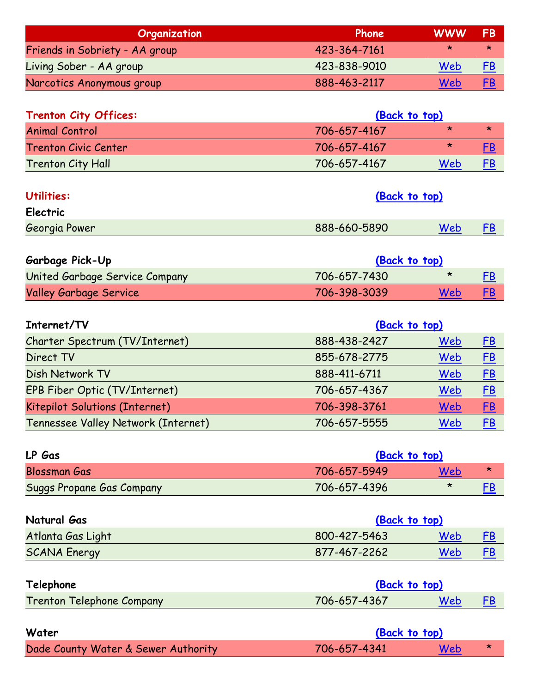| Organization                   | Phone        | <b>WWW</b> | <b>FB</b> |
|--------------------------------|--------------|------------|-----------|
| Friends in Sobriety - AA group | 423-364-7161 | ∗          | $\star$   |
| Living Sober - AA group        | 423-838-9010 | Web        | <u>FB</u> |
| Narcotics Anonymous group      | 888-463-2117 | Web        | FB        |

<span id="page-14-0"></span>

| <b>Trenton City Offices:</b> | (Back to top) |         |           |
|------------------------------|---------------|---------|-----------|
| <b>Animal Control</b>        | 706-657-4167  | $\star$ | ×         |
| <b>Trenton Civic Center</b>  | 706-657-4167  | $\star$ | FB        |
| <b>Trenton City Hall</b>     | 706-657-4167  | Web     | <u>FB</u> |

<span id="page-14-1"></span>

| Utilities:    | (Back to top) |     |    |
|---------------|---------------|-----|----|
| Electric      |               |     |    |
| Georgia Power | 888-660-5890  | Web | FB |

| <b>Garbage Pick-Up</b>         | (Back to top) |         |    |
|--------------------------------|---------------|---------|----|
| United Garbage Service Company | 706-657-7430  | $\star$ | FB |
| <b>Valley Garbage Service</b>  | 706-398-3039  | Web     | FB |

| Internet/TV                         | (Back to top) |     |           |
|-------------------------------------|---------------|-----|-----------|
| Charter Spectrum (TV/Internet)      | 888-438-2427  | Web | <u>FB</u> |
| Direct TV                           | 855-678-2775  | Web | E         |
| Dish Network TV                     | 888-411-6711  | Web | E         |
| EPB Fiber Optic (TV/Internet)       | 706-657-4367  | Web | $E$ B     |
| Kitepilot Solutions (Internet)      | 706-398-3761  | Web | EB        |
| Tennessee Valley Network (Internet) | 706-657-5555  | Web | FB        |

| LP Gas                           | (Back to top) |         |   |
|----------------------------------|---------------|---------|---|
| <b>Blossman Gas</b>              | 706-657-5949  | Web     | ∗ |
| <b>Suggs Propane Gas Company</b> | 706-657-4396  | $\star$ |   |

| Natural Gas         | (Back to top) |     |  |
|---------------------|---------------|-----|--|
| Atlanta Gas Light   | 800-427-5463  | Web |  |
| <b>SCANA Energy</b> | 877-467-2262  | Web |  |

| Telephone                        | (Back to top) |            |  |
|----------------------------------|---------------|------------|--|
| <b>Trenton Telephone Company</b> | 706-657-4367  | <b>Web</b> |  |

| Water                               | (Back to top) |     |  |
|-------------------------------------|---------------|-----|--|
| Dade County Water & Sewer Authority | 706-657-4341  | Web |  |